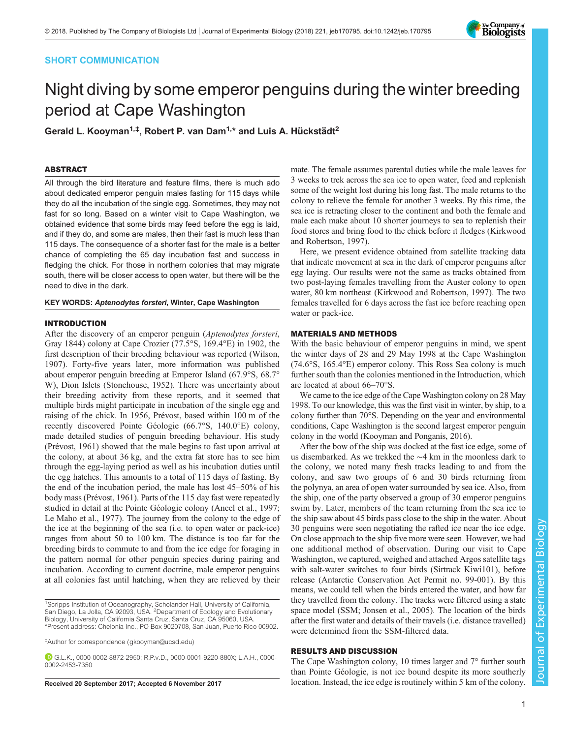# SHORT COMMUNICATION



# Night diving by some emperor penguins during the winter breeding period at Cape Washington

Gerald L. Kooyman<sup>1,‡</sup>, Robert P. van Dam<sup>1,</sup>\* and Luis A. Hückstädt<sup>2</sup>

# ABSTRACT

All through the bird literature and feature films, there is much ado about dedicated emperor penguin males fasting for 115 days while they do all the incubation of the single egg. Sometimes, they may not fast for so long. Based on a winter visit to Cape Washington, we obtained evidence that some birds may feed before the egg is laid, and if they do, and some are males, then their fast is much less than 115 days. The consequence of a shorter fast for the male is a better chance of completing the 65 day incubation fast and success in fledging the chick. For those in northern colonies that may migrate south, there will be closer access to open water, but there will be the need to dive in the dark.

## KEY WORDS: Aptenodytes forsteri, Winter, Cape Washington

# INTRODUCTION

After the discovery of an emperor penguin (Aptenodytes forsteri, Gray 1844) colony at Cape Crozier (77.5°S, 169.4°E) in 1902, the first description of their breeding behaviour was reported ([Wilson,](#page-2-0) [1907](#page-2-0)). Forty-five years later, more information was published about emperor penguin breeding at Emperor Island (67.9°S, 68.7° W), Dion Islets ([Stonehouse, 1952](#page-2-0)). There was uncertainty about their breeding activity from these reports, and it seemed that multiple birds might participate in incubation of the single egg and raising of the chick. In 1956, Prévost, based within 100 m of the recently discovered Pointe Géologie (66.7°S, 140.0°E) colony, made detailed studies of penguin breeding behaviour. His study [\(Prévost, 1961\)](#page-2-0) showed that the male begins to fast upon arrival at the colony, at about 36 kg, and the extra fat store has to see him through the egg-laying period as well as his incubation duties until the egg hatches. This amounts to a total of 115 days of fasting. By the end of the incubation period, the male has lost 45–50% of his body mass ([Prévost, 1961\)](#page-2-0). Parts of the 115 day fast were repeatedly studied in detail at the Pointe Géologie colony ([Ancel et al., 1997](#page-2-0); [Le Maho et al., 1977\)](#page-2-0). The journey from the colony to the edge of the ice at the beginning of the sea (i.e. to open water or pack-ice) ranges from about 50 to 100 km. The distance is too far for the breeding birds to commute to and from the ice edge for foraging in the pattern normal for other penguin species during pairing and incubation. According to current doctrine, male emperor penguins at all colonies fast until hatching, when they are relieved by their

‡ Author for correspondence ([gkooyman@ucsd.edu](mailto:gkooyman@ucsd.edu))

mate. The female assumes parental duties while the male leaves for 3 weeks to trek across the sea ice to open water, feed and replenish some of the weight lost during his long fast. The male returns to the colony to relieve the female for another 3 weeks. By this time, the sea ice is retracting closer to the continent and both the female and male each make about 10 shorter journeys to sea to replenish their food stores and bring food to the chick before it fledges ([Kirkwood](#page-2-0) [and Robertson, 1997](#page-2-0)).

Here, we present evidence obtained from satellite tracking data that indicate movement at sea in the dark of emperor penguins after egg laying. Our results were not the same as tracks obtained from two post-laying females travelling from the Auster colony to open water, 80 km northeast ([Kirkwood and Robertson, 1997](#page-2-0)). The two females travelled for 6 days across the fast ice before reaching open water or pack-ice.

## MATERIALS AND METHODS

With the basic behaviour of emperor penguins in mind, we spent the winter days of 28 and 29 May 1998 at the Cape Washington (74.6°S, 165.4°E) emperor colony. This Ross Sea colony is much further south than the colonies mentioned in the Introduction, which are located at about 66–70°S.

We came to the ice edge of the Cape Washington colony on 28 May 1998. To our knowledge, this was the first visit in winter, by ship, to a colony further than 70°S. Depending on the year and environmental conditions, Cape Washington is the second largest emperor penguin colony in the world ([Kooyman and Ponganis, 2016](#page-2-0)).

After the bow of the ship was docked at the fast ice edge, some of us disembarked. As we trekked the ∼4 km in the moonless dark to the colony, we noted many fresh tracks leading to and from the colony, and saw two groups of 6 and 30 birds returning from the polynya, an area of open water surrounded by sea ice. Also, from the ship, one of the party observed a group of 30 emperor penguins swim by. Later, members of the team returning from the sea ice to the ship saw about 45 birds pass close to the ship in the water. About 30 penguins were seen negotiating the rafted ice near the ice edge. On close approach to the ship five more were seen. However, we had one additional method of observation. During our visit to Cape Washington, we captured, weighed and attached Argos satellite tags with salt-water switches to four birds (Sirtrack Kiwi101), before release (Antarctic Conservation Act Permit no. 99-001). By this means, we could tell when the birds entered the water, and how far they travelled from the colony. The tracks were filtered using a state space model (SSM; [Jonsen et al., 2005](#page-2-0)). The location of the birds after the first water and details of their travels (i.e. distance travelled) were determined from the SSM-filtered data.

# RESULTS AND DISCUSSION

The Cape Washington colony, 10 times larger and 7° further south than Pointe Géologie, is not ice bound despite its more southerly Received 20 September 2017; Accepted 6 November 2017 location. Instead, the ice edge is routinely within 5 km of the colony.

<sup>&</sup>lt;sup>1</sup>Scripps Institution of Oceanography, Scholander Hall, University of California, San Diego, La Jolla, CA 92093, USA. <sup>2</sup> Department of Ecology and Evolutionary Biology, University of California Santa Cruz, Santa Cruz, CA 95060, USA. \*Present address: Chelonia Inc., PO Box 9020708, San Juan, Puerto Rico 00902.

G.L.K., [0000-0002-8872-2950](http://orcid.org/0000-0002-8872-2950); R.P.v.D., [0000-0001-9220-880X;](http://orcid.org/0000-0001-9220-880X) L.A.H., [0000-](http://orcid.org/0000-0002-2453-7350) [0002-2453-7350](http://orcid.org/0000-0002-2453-7350)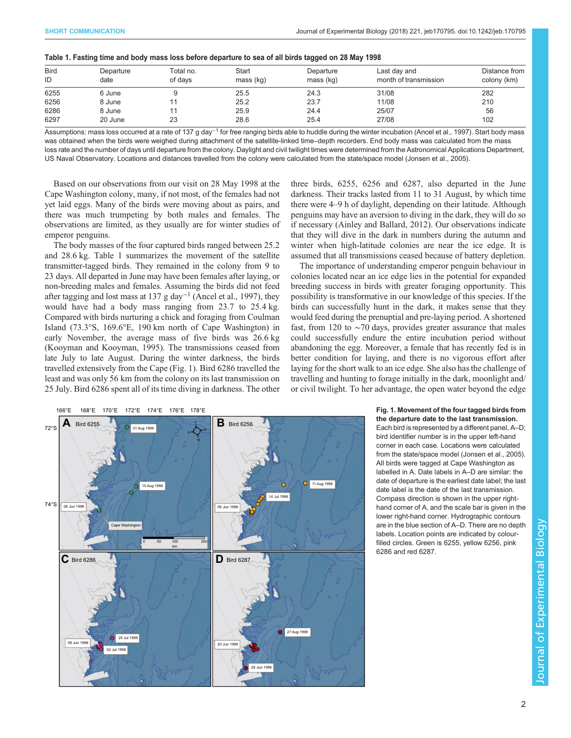| <b>Bird</b><br>ID | Departure<br>date | Total no.<br>of davs | Start<br>mass (kg) | Departure<br>mass (kg) | Last day and<br>month of transmission | Distance from<br>colony (km) |
|-------------------|-------------------|----------------------|--------------------|------------------------|---------------------------------------|------------------------------|
| 6255              | 6 June            |                      | 25.5               | 24.3                   | 31/08                                 | 282                          |
| 6256              | 8 June            |                      | 25.2               | 23.7                   | 11/08                                 | 210                          |
| 6286              | 8 June            |                      | 25.9               | 24.4                   | 25/07                                 | 56                           |
| 6297              | 20 June           | 23                   | 28.6               | 25.4                   | 27/08                                 | 102                          |

Assumptions: mass loss occurred at a rate of 137 g day<sup>-1</sup> for free ranging birds able to huddle during the winter incubation ([Ancel et al., 1997](#page-2-0)). Start body mass was obtained when the birds were weighed during attachment of the satellite-linked time–depth recorders. End body mass was calculated from the mass loss rate and the number of days until departure from the colony. Daylight and civil twilight times were determined from the Astronomical Applications Department, US Naval Observatory. Locations and distances travelled from the colony were calculated from the state/space model [\(Jonsen et al., 2005](#page-2-0)).

Based on our observations from our visit on 28 May 1998 at the Cape Washington colony, many, if not most, of the females had not yet laid eggs. Many of the birds were moving about as pairs, and there was much trumpeting by both males and females. The observations are limited, as they usually are for winter studies of emperor penguins.

The body masses of the four captured birds ranged between 25.2 and 28.6 kg. Table 1 summarizes the movement of the satellite transmitter-tagged birds. They remained in the colony from 9 to 23 days. All departed in June may have been females after laying, or non-breeding males and females. Assuming the birds did not feed after tagging and lost mass at 137 g day<sup>-1</sup> ([Ancel et al., 1997](#page-2-0)), they would have had a body mass ranging from 23.7 to 25.4 kg. Compared with birds nurturing a chick and foraging from Coulman Island (73.3°S, 169.6°E, 190 km north of Cape Washington) in early November, the average mass of five birds was 26.6 kg [\(Kooyman and Kooyman, 1995\)](#page-2-0). The transmissions ceased from late July to late August. During the winter darkness, the birds travelled extensively from the Cape (Fig. 1). Bird 6286 travelled the least and was only 56 km from the colony on its last transmission on 25 July. Bird 6286 spent all of its time diving in darkness. The other three birds, 6255, 6256 and 6287, also departed in the June darkness. Their tracks lasted from 11 to 31 August, by which time there were 4–9 h of daylight, depending on their latitude. Although penguins may have an aversion to diving in the dark, they will do so if necessary ([Ainley and Ballard, 2012\)](#page-2-0). Our observations indicate that they will dive in the dark in numbers during the autumn and winter when high-latitude colonies are near the ice edge. It is assumed that all transmissions ceased because of battery depletion.

The importance of understanding emperor penguin behaviour in colonies located near an ice edge lies in the potential for expanded breeding success in birds with greater foraging opportunity. This possibility is transformative in our knowledge of this species. If the birds can successfully hunt in the dark, it makes sense that they would feed during the prenuptial and pre-laying period. A shortened fast, from 120 to ∼70 days, provides greater assurance that males could successfully endure the entire incubation period without abandoning the egg. Moreover, a female that has recently fed is in better condition for laying, and there is no vigorous effort after laying for the short walk to an ice edge. She also has the challenge of travelling and hunting to forage initially in the dark, moonlight and/ or civil twilight. To her advantage, the open water beyond the edge



Fig. 1. Movement of the four tagged birds from the departure date to the last transmission. Each bird is represented by a different panel, A–D; bird identifier number is in the upper left-hand corner in each case. Locations were calculated from the state/space model ([Jonsen et al., 2005\)](#page-2-0). All birds were tagged at Cape Washington as labelled in A. Date labels in A–D are similar: the date of departure is the earliest date label; the last date label is the date of the last transmission. Compass direction is shown in the upper righthand corner of A, and the scale bar is given in the lower right-hand corner. Hydrographic contours are in the blue section of A–D. There are no depth labels. Location points are indicated by colourfilled circles. Green is 6255, yellow 6256, pink 6286 and red 6287.